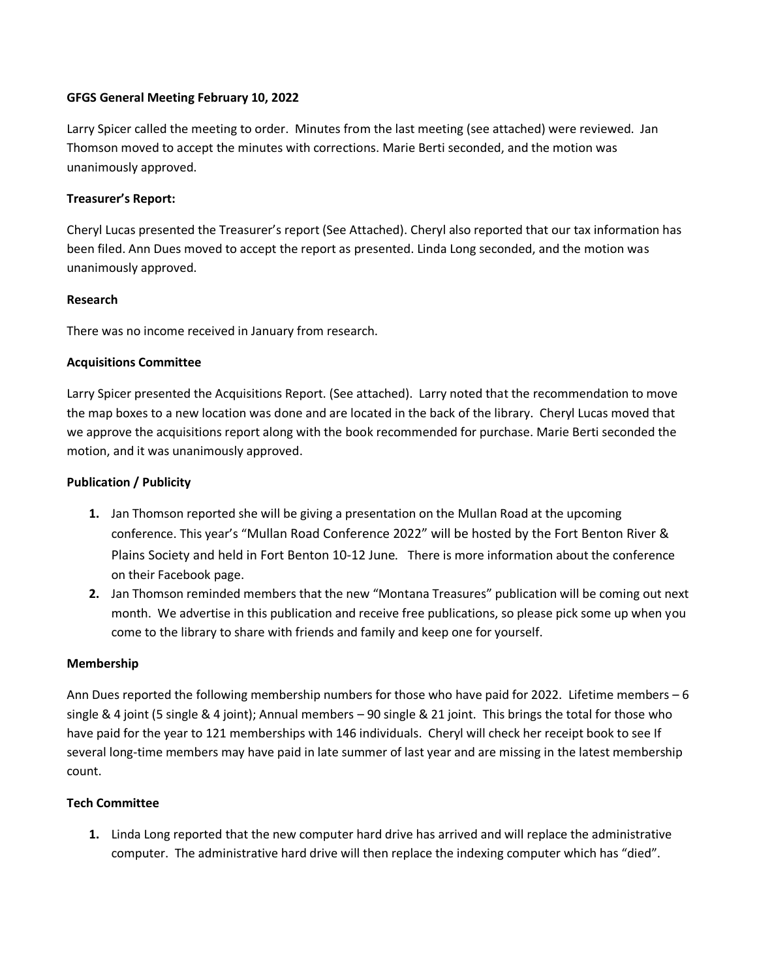### **GFGS General Meeting February 10, 2022**

Larry Spicer called the meeting to order. Minutes from the last meeting (see attached) were reviewed. Jan Thomson moved to accept the minutes with corrections. Marie Berti seconded, and the motion was unanimously approved.

# **Treasurer's Report:**

Cheryl Lucas presented the Treasurer's report (See Attached). Cheryl also reported that our tax information has been filed. Ann Dues moved to accept the report as presented. Linda Long seconded, and the motion was unanimously approved.

# **Research**

There was no income received in January from research.

# **Acquisitions Committee**

Larry Spicer presented the Acquisitions Report. (See attached). Larry noted that the recommendation to move the map boxes to a new location was done and are located in the back of the library. Cheryl Lucas moved that we approve the acquisitions report along with the book recommended for purchase. Marie Berti seconded the motion, and it was unanimously approved.

# **Publication / Publicity**

- **1.** Jan Thomson reported she will be giving a presentation on the Mullan Road at the upcoming conference. This year's "Mullan Road Conference 2022" will be hosted by the Fort Benton River & Plains Society and held in Fort Benton 10-12 June. There is more information about the conference on their Facebook page.
- **2.** Jan Thomson reminded members that the new "Montana Treasures" publication will be coming out next month. We advertise in this publication and receive free publications, so please pick some up when you come to the library to share with friends and family and keep one for yourself.

### **Membership**

Ann Dues reported the following membership numbers for those who have paid for 2022. Lifetime members – 6 single & 4 joint (5 single & 4 joint); Annual members – 90 single & 21 joint. This brings the total for those who have paid for the year to 121 memberships with 146 individuals. Cheryl will check her receipt book to see If several long-time members may have paid in late summer of last year and are missing in the latest membership count.

### **Tech Committee**

**1.** Linda Long reported that the new computer hard drive has arrived and will replace the administrative computer. The administrative hard drive will then replace the indexing computer which has "died".